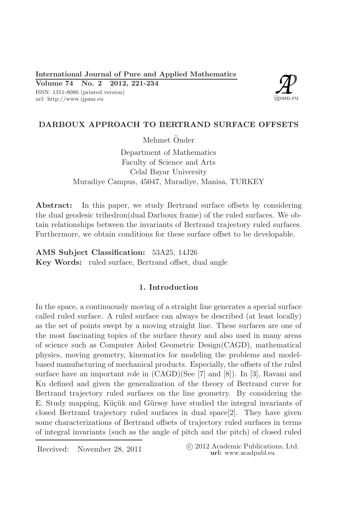

# DARBOUX APPROACH TO BERTRAND SURFACE OFFSETS

Mehmet Önder

Department of Mathematics Faculty of Science and Arts Celal Bayar University Muradiye Campus, 45047, Muradiye, Manisa, TURKEY

In this paper, we study Bertrand surface offsets by considering Abstract: the dual geodesic trihedron(dual Darboux frame) of the ruled surfaces. We obtain relationships between the invariants of Bertrand trajectory ruled surfaces. Furthermore, we obtain conditions for these surface offset to be developable.

AMS Subject Classification: 53A25, 14J26 Key Words: ruled surface, Bertrand offset, dual angle

## 1. Introduction

In the space, a continuously moving of a straight line generates a special surface called ruled surface. A ruled surface can always be described (at least locally) as the set of points swept by a moving straight line. These surfaces are one of the most fascinating topics of the surface theory and also used in many areas of science such as Computer Aided Geometric Design(CAGD), mathematical physics, moving geometry, kinematics for modeling the problems and modelbased manufacturing of mechanical products. Especially, the offsets of the ruled surface have an important role in  $(CAGD)(See \ 7]$  and  $[8]$ ). In [3], Ravani and Ku defined and given the generalization of the theory of Bertrand curve for Bertrand trajectory ruled surfaces on the line geometry. By considering the E. Study mapping, Küçük and Gürsoy have studied the integral invariants of closed Bertrand trajectory ruled surfaces in dual space  $[2]$ . They have given some characterizations of Bertrand offsets of trajectory ruled surfaces in terms of integral invariants (such as the angle of pitch and the pitch) of closed ruled

Received: November 28, 2011

(c) 2012 Academic Publications, Ltd. url: www.acadpubl.eu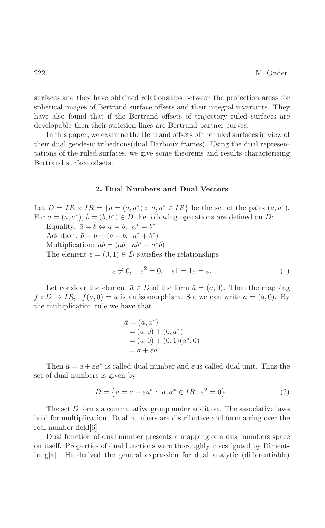surfaces and they have obtained relationships between the projection areas for spherical images of Bertrand surface offsets and their integral invariants. They have also found that if the Bertrand offsets of trajectory ruled surfaces are developable then their striction lines are Bertrand partner curves.

In this paper, we examine the Bertrand offsets of the ruled surfaces in view of their dual geodesic trihedrons (dual Darboux frames). Using the dual representations of the ruled surfaces, we give some theorems and results characterizing Bertrand surface offsets.

## 2. Dual Numbers and Dual Vectors

Let  $D = IR \times IR = {\overline{a}} = (a,a^*) : a,a^* \in IR$  be the set of the pairs  $(a,a^*)$ . For  $\bar{a} = (a, a^*), b = (b, b^*) \in D$  the following operations are defined on D: Equality:  $\bar{a} = b \Leftrightarrow a = b, a^* = b^*$ 

Addition:  $\bar{a} + b = (a + b, a^* + b^*)$ Multiplication:  $\bar{a}b = (ab, ab^* + a^*b)$ The element  $\varepsilon = (0,1) \in D$  satisfies the relationships

$$
\varepsilon \neq 0, \quad \varepsilon^2 = 0, \quad \varepsilon 1 = 1\varepsilon = \varepsilon. \tag{1}
$$

Let consider the element  $\bar{a} \in D$  of the form  $\bar{a} = (a, 0)$ . Then the mapping  $f: D \to IR$ ,  $f(a, 0) = a$  is an isomorphism. So, we can write  $a = (a, 0)$ . By the multiplication rule we have that

$$
\bar{a} = (a, a^*)
$$
  
= (a, 0) + (0, a^\*)  
= (a, 0) + (0, 1)(a^\*, 0)  
= a + \varepsilon a^\*

Then  $\bar{a} = a + \varepsilon a^*$  is called dual number and  $\varepsilon$  is called dual unit. Thus the set of dual numbers is given by

$$
D = \{\bar{a} = a + \varepsilon a^* : a, a^* \in IR, \ \varepsilon^2 = 0\}.
$$
 (2)

The set  $D$  forms a commutative group under addition. The associative laws hold for multiplication. Dual numbers are distributive and form a ring over the real number field  $[6]$ .

Dual function of dual number presents a mapping of a dual numbers space on itself. Properties of dual functions were thoroughly investigated by Diment- $\text{berg}[4]$ . He derived the general expression for dual analytic (differentiable)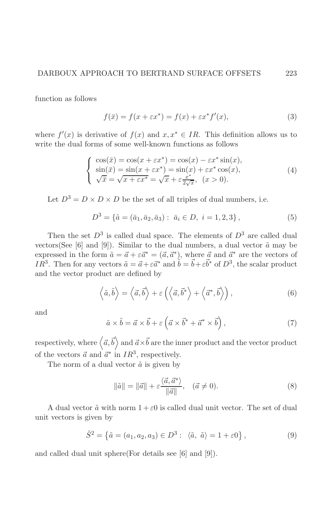function as follows

$$
f(\bar{x}) = f(x + \varepsilon x^*) = f(x) + \varepsilon x^* f'(x),\tag{3}
$$

where  $f'(x)$  is derivative of  $f(x)$  and  $x, x^* \in IR$ . This definition allows us to write the dual forms of some well-known functions as follows

$$
\begin{cases}\n\cos(\bar{x}) = \cos(x + \varepsilon x^*) = \cos(x) - \varepsilon x^* \sin(x), \\
\sin(\bar{x}) = \sin(x + \varepsilon x^*) = \sin(x) + \varepsilon x^* \cos(x), \\
\sqrt{\bar{x}} = \sqrt{x + \varepsilon x^*} = \sqrt{x} + \varepsilon \frac{x^*}{2\sqrt{x}}, \ (x > 0).\n\end{cases} (4)
$$

Let  $D^3 = D \times D \times D$  be the set of all triples of dual numbers, i.e.

$$
D^3 = \{\tilde{a} = (\bar{a}_1, \bar{a}_2, \bar{a}_3) : \ \bar{a}_i \in D, \ i = 1, 2, 3\},\tag{5}
$$

Then the set  $D^3$  is called dual space. The elements of  $D^3$  are called dual vectors (See [6] and [9]). Similar to the dual numbers, a dual vector  $\tilde{a}$  may be expressed in the form  $\tilde{a} = \vec{a} + \varepsilon \vec{a}^* = (\vec{a}, \vec{a}^*)$ , where  $\vec{a}$  and  $\vec{a}^*$  are the vectors of  $IR^3$ . Then for any vectors  $\tilde{a} = \vec{a} + \varepsilon \vec{a}^*$  and  $\tilde{b} = \vec{b} + \varepsilon \vec{b}^*$  of  $D^3$ , the scalar product and the vector product are defined by

$$
\left\langle \tilde{a},\tilde{b}\right\rangle =\left\langle \vec{a},\vec{b}\right\rangle +\varepsilon\left(\left\langle \vec{a},\vec{b}^*\right\rangle +\left\langle \vec{a}^*,\vec{b}\right\rangle\right),\tag{6}
$$

and

$$
\tilde{a} \times \tilde{b} = \vec{a} \times \vec{b} + \varepsilon \left( \vec{a} \times \vec{b}^* + \vec{a}^* \times \vec{b} \right),\tag{7}
$$

respectively, where  $\langle \vec{a}, \vec{b} \rangle$  and  $\vec{a} \times \vec{b}$  are the inner product and the vector product of the vectors  $\vec{a}$  and  $\vec{a}^*$  in  $IR^3$ , respectively.

The norm of a dual vector  $\tilde{a}$  is given by

$$
\|\tilde{a}\| = \|\vec{a}\| + \varepsilon \frac{\langle \vec{a}, \vec{a}^* \rangle}{\|\vec{a}\|}, \quad (\vec{a} \neq 0). \tag{8}
$$

A dual vector  $\tilde{a}$  with norm  $1 + \varepsilon 0$  is called dual unit vector. The set of dual unit vectors is given by

$$
\tilde{S}^{2} = \{ \tilde{a} = (a_{1}, a_{2}, a_{3}) \in D^{3} : \langle \tilde{a}, \tilde{a} \rangle = 1 + \varepsilon 0 \},
$$
\n(9)

and called dual unit sphere (For details see [6] and [9]).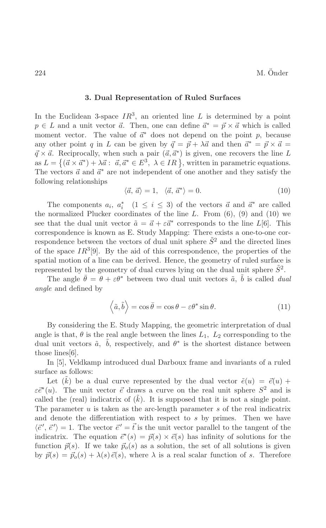#### 3. Dual Representation of Ruled Surfaces

In the Euclidean 3-space  $IR^3$ , an oriented line L is determined by a point  $p \in L$  and a unit vector  $\vec{a}$ . Then, one can define  $\vec{a}^* = \vec{p} \times \vec{a}$  which is called moment vector. The value of  $\vec{a}^*$  does not depend on the point p, because any other point q in L can be given by  $\vec{q} = \vec{p} + \lambda \vec{a}$  and then  $\vec{a}^* = \vec{p} \times \vec{a}$  $\vec{q} \times \vec{a}$ . Reciprocally, when such a pair  $(\vec{a}, \vec{a}^*)$  is given, one recovers the line L as  $L = \{(\vec{a} \times \vec{a}^*) + \lambda \vec{a} : \vec{a}, \vec{a}^* \in E^3, \lambda \in IR\}$ , written in parametric equations. The vectors  $\vec{a}$  and  $\vec{a}^*$  are not independent of one another and they satisfy the following relationships

$$
\langle \vec{a}, \vec{a} \rangle = 1, \quad \langle \vec{a}, \vec{a}^* \rangle = 0. \tag{10}
$$

The components  $a_i$ ,  $a_i^*$  (1  $\leq i \leq 3$ ) of the vectors  $\vec{a}$  and  $\vec{a}^*$  are called the normalized Plucker coordinates of the line  $L$ . From  $(6)$ ,  $(9)$  and  $(10)$  we see that the dual unit vector  $\tilde{a} = \vec{a} + \varepsilon \vec{a}^*$  corresponds to the line  $L[6]$ . This correspondence is known as E. Study Mapping: There exists a one-to-one correspondence between the vectors of dual unit sphere  $\tilde{S}^2$  and the directed lines of the space  $IR^3[9]$ . By the aid of this correspondence, the properties of the spatial motion of a line can be derived. Hence, the geometry of ruled surface is represented by the geometry of dual curves lying on the dual unit sphere  $\tilde{S}^2$ .

The angle  $\theta = \theta + \varepsilon \theta^*$  between two dual unit vectors  $\tilde{a}$ , b is called *dual angle* and defined by

$$
\langle \tilde{a}, \tilde{b} \rangle = \cos \bar{\theta} = \cos \theta - \varepsilon \theta^* \sin \theta.
$$
 (11)

By considering the E. Study Mapping, the geometric interpretation of dual angle is that,  $\theta$  is the real angle between the lines  $L_1$ ,  $L_2$  corresponding to the dual unit vectors  $\tilde{a}$ , b, respectively, and  $\theta^*$  is the shortest distance between those lines [6].

In [5], Veldkamp introduced dual Darboux frame and invariants of a ruled surface as follows:

Let  $(\tilde{k})$  be a dual curve represented by the dual vector  $\tilde{e}(u) = \tilde{e}(u) +$  $\varepsilon \bar{e}^*(u)$ . The unit vector  $\bar{e}$  draws a curve on the real unit sphere  $S^2$  and is called the (real) indicatrix of  $(k)$ . It is supposed that it is not a single point. The parameter  $u$  is taken as the arc-length parameter  $s$  of the real indicatrix and denote the differentiation with respect to  $s$  by primes. Then we have  $\langle \vec{e}', \vec{e}' \rangle = 1$ . The vector  $\vec{e}' = \vec{t}$  is the unit vector parallel to the tangent of the indicatrix. The equation  $\vec{e}^*(s) = \vec{p}(s) \times \vec{e}(s)$  has infinity of solutions for the function  $\vec{p}(s)$ . If we take  $\vec{p}_o(s)$  as a solution, the set of all solutions is given by  $\vec{p}(s) = \vec{p}_o(s) + \lambda(s)\vec{e}(s)$ , where  $\lambda$  is a real scalar function of s. Therefore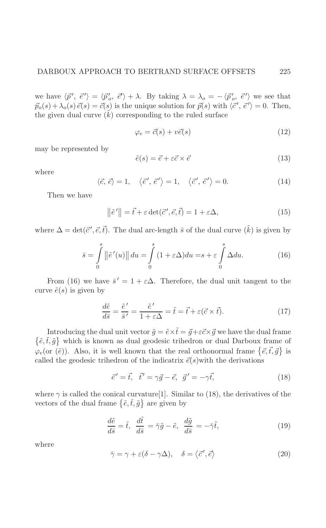we have  $\langle \vec{p}', \vec{e}' \rangle = \langle \vec{p}'_o, \vec{e}' \rangle + \lambda$ . By taking  $\lambda = \lambda_o = -\langle \vec{p}'_o, \vec{e}' \rangle$  we see that  $\vec{p}_o(s) + \lambda_o(s) \vec{e}(s) = \vec{c}(s)$  is the unique solution for  $\vec{p}(s)$  with  $\langle \vec{c}', \vec{e}' \rangle = 0$ . Then, the given dual curve  $(k)$  corresponding to the ruled surface

$$
\varphi_e = \vec{c}(s) + v\vec{e}(s) \tag{12}
$$

may be represented by

$$
\tilde{e}(s) = \vec{e} + \varepsilon \vec{c} \times \vec{e} \tag{13}
$$

where

$$
\langle \vec{e}, \vec{e} \rangle = 1, \quad \langle \vec{e}', \vec{e}' \rangle = 1, \quad \langle \vec{c}', \vec{e}' \rangle = 0.
$$
 (14)

Then we have

$$
\left\|\tilde{e}'\right\| = \vec{t} + \varepsilon \det(\vec{c}', \vec{e}, \vec{t}) = 1 + \varepsilon \Delta,\tag{15}
$$

where  $\Delta = \det(\vec{c}', \vec{e}, \vec{t})$ . The dual arc-length  $\bar{s}$  of the dual curve  $(\tilde{k})$  is given by

$$
\bar{s} = \int_{0}^{s} \left\| \tilde{e}'(u) \right\| du = \int_{0}^{s} (1 + \varepsilon \Delta) du = s + \varepsilon \int_{0}^{s} \Delta du. \tag{16}
$$

From (16) we have  $\bar{s}' = 1 + \varepsilon \Delta$ . Therefore, the dual unit tangent to the curve  $\tilde{e}(s)$  is given by

$$
\frac{d\tilde{e}}{d\bar{s}} = \frac{\tilde{e}'}{\bar{s}'} = \frac{\tilde{e}'}{1 + \varepsilon \Delta} = \tilde{t} = \vec{t} + \varepsilon (\vec{c} \times \vec{t}).\tag{17}
$$

Introducing the dual unit vector  $\tilde{g} = \tilde{e} \times \tilde{t} = \vec{g} + \varepsilon \vec{c} \times \vec{g}$  we have the dual frame  $\{\tilde{e}, \tilde{t}, \tilde{g}\}$  which is known as dual geodesic trihedron or dual Darboux frame of  $\varphi_e$ (or  $(\tilde{e})$ ). Also, it is well known that the real orthonormal frame  $\{\vec{e}, \vec{t}, \vec{g}\}$  is called the geodesic trihedron of the indicatrix  $\vec{e}(s)$  with the derivations

$$
\vec{e}' = \vec{t}, \quad \vec{t}' = \gamma \vec{g} - \vec{e}, \quad \vec{g}' = -\gamma \vec{t}, \tag{18}
$$

where  $\gamma$  is called the conical curvature<sup>[1]</sup>. Similar to (18), the derivatives of the vectors of the dual frame  $\{\tilde{e}, \tilde{t}, \tilde{g}\}$  are given by

$$
\frac{d\tilde{e}}{d\bar{s}} = \tilde{t}, \quad \frac{d\tilde{t}}{d\bar{s}} = \bar{\gamma}\tilde{g} - \tilde{e}, \quad \frac{d\tilde{g}}{d\bar{s}} = -\bar{\gamma}\tilde{t}, \tag{19}
$$

where

$$
\bar{\gamma} = \gamma + \varepsilon(\delta - \gamma \Delta), \quad \delta = \langle \vec{c}', \vec{e} \rangle \tag{20}
$$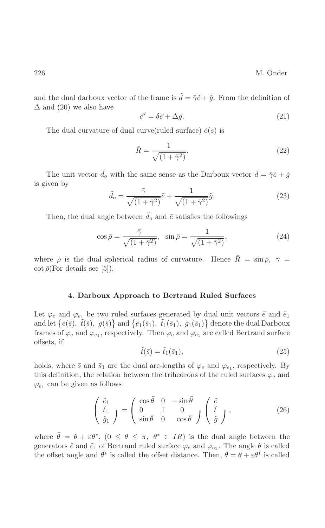and the dual darboux vector of the frame is  $\tilde{d} = \tilde{\gamma} \tilde{e} + \tilde{g}$ . From the definition of  $\Delta$  and (20) we also have

$$
\vec{c}' = \delta \vec{e} + \Delta \vec{g}.\tag{21}
$$

The dual curvature of dual curve (ruled surface)  $\tilde{e}(s)$  is

$$
\bar{R} = \frac{1}{\sqrt{(1+\bar{\gamma}^2)}}.\tag{22}
$$

The unit vector  $\tilde{d}_o$  with the same sense as the Darboux vector  $\tilde{d} = \tilde{\gamma}\tilde{e} + \tilde{g}$ is given by

$$
\tilde{d}_o = \frac{\bar{\gamma}}{\sqrt{(1+\bar{\gamma}^2)}}\tilde{e} + \frac{1}{\sqrt{(1+\bar{\gamma}^2)}}\tilde{g}.
$$
\n(23)

Then, the dual angle between  $d_o$  and  $\tilde{e}$  satisfies the followings

$$
\cos \bar{\rho} = \frac{\bar{\gamma}}{\sqrt{(1 + \bar{\gamma}^2)}}, \quad \sin \bar{\rho} = \frac{1}{\sqrt{(1 + \bar{\gamma}^2)}},\tag{24}
$$

where  $\bar{\rho}$  is the dual spherical radius of curvature. Hence  $\bar{R} = \sin \bar{\rho}, \ \bar{\gamma} =$  $\cot \bar{\rho}$  (For details see [5]).

#### 4. Darboux Approach to Bertrand Ruled Surfaces

Let  $\varphi_e$  and  $\varphi_{e_1}$  be two ruled surfaces generated by dual unit vectors  $\tilde{e}$  and  $\tilde{e}_1$ and let  $\{\tilde{e}(\bar{s}), \tilde{t}(\bar{s}), \tilde{g}(\bar{s})\}$  and  $\{\tilde{e}_1(\bar{s}_1), \tilde{t}_1(\bar{s}_1), \tilde{g}_1(\bar{s}_1)\}$  denote the dual Darboux frames of  $\varphi_e$  and  $\varphi_{e_1}$ , respectively. Then  $\varphi_e$  and  $\varphi_{e_1}$  are called Bertrand surface offsets, if

$$
\tilde{t}(\bar{s}) = \tilde{t}_1(\bar{s}_1),\tag{25}
$$

holds, where  $\bar{s}$  and  $\bar{s}_1$  are the dual arc-lengths of  $\varphi_e$  and  $\varphi_{e_1}$ , respectively. By this definition, the relation between the trihedrons of the ruled surfaces  $\varphi_e$  and  $\varphi_{e_1}$  can be given as follows

$$
\begin{pmatrix}\n\tilde{e}_1 \\
\tilde{t}_1 \\
\tilde{g}_1\n\end{pmatrix} = \begin{pmatrix}\n\cos\bar{\theta} & 0 & -\sin\bar{\theta} \\
0 & 1 & 0 \\
\sin\bar{\theta} & 0 & \cos\bar{\theta}\n\end{pmatrix} \begin{pmatrix}\n\tilde{e} \\
\tilde{t} \\
\tilde{g}\n\end{pmatrix},
$$
\n(26)

where  $\bar{\theta} = \theta + \varepsilon \theta^*$ ,  $(0 \le \theta \le \pi, \theta^* \in IR)$  is the dual angle between the generators  $\tilde{e}$  and  $\tilde{e}_1$  of Bertrand ruled surface  $\varphi_e$  and  $\varphi_{e_1}$ . The angle  $\theta$  is called the offset angle and  $\theta^*$  is called the offset distance. Then,  $\theta = \theta + \varepsilon \theta^*$  is called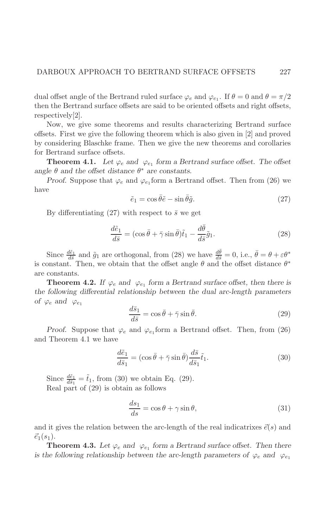dual offset angle of the Bertrand ruled surface  $\varphi_e$  and  $\varphi_{e_1}$ . If  $\theta = 0$  and  $\theta = \pi/2$ then the Bertrand surface offsets are said to be oriented offsets and right offsets, respectively $[2]$ .

Now, we give some theorems and results characterizing Bertrand surface offsets. First we give the following theorem which is also given in [2] and proved by considering Blaschke frame. Then we give the new theorems and corollaries for Bertrand surface offsets.

**Theorem 4.1.** Let  $\varphi_e$  and  $\varphi_{e_1}$  form a Bertrand surface offset. The offset angle  $\theta$  and the offset distance  $\theta^*$  are constants.

*Proof.* Suppose that  $\varphi_e$  and  $\varphi_{e_1}$  form a Bertrand offset. Then from (26) we have

$$
\tilde{e}_1 = \cos \bar{\theta}\tilde{e} - \sin \bar{\theta}\tilde{g}.\tag{27}
$$

By differentiating (27) with respect to  $\bar{s}$  we get

$$
\frac{d\tilde{e}_1}{d\bar{s}} = (\cos\bar{\theta} + \bar{\gamma}\sin\bar{\theta})\tilde{t}_1 - \frac{d\bar{\theta}}{d\bar{s}}\tilde{g}_1.
$$
\n(28)

Since  $\frac{d\tilde{e}_1}{d\tilde{s}}$  and  $\tilde{g}_1$  are orthogonal, from (28) we have  $\frac{d\theta}{d\tilde{s}} = 0$ , i.e.,  $\bar{\theta} = \theta + \varepsilon \theta^*$ is constant. Then, we obtain that the offset angle  $\theta$  and the offset distance  $\theta^*$ are constants.

**Theorem 4.2.** If  $\varphi_e$  and  $\varphi_{e_1}$  form a Bertrand surface offset, then there is the following differential relationship between the dual arc-length parameters of  $\varphi_e$  and  $\varphi_{e_1}$ 

$$
\frac{d\bar{s}_1}{d\bar{s}} = \cos\bar{\theta} + \bar{\gamma}\sin\bar{\theta}.\tag{29}
$$

*Proof.* Suppose that  $\varphi_e$  and  $\varphi_{e_1}$  form a Bertrand offset. Then, from (26) and Theorem 4.1 we have

$$
\frac{d\tilde{e}_1}{d\bar{s}_1} = (\cos\bar{\theta} + \bar{\gamma}\sin\bar{\theta})\frac{d\bar{s}}{d\bar{s}_1}\tilde{t}_1.
$$
\n(30)

Since  $\frac{d\tilde{e}_1}{d\tilde{s}_1} = \tilde{t}_1$ , from (30) we obtain Eq. (29). Real part of  $(29)$  is obtain as follows

$$
\frac{ds_1}{ds} = \cos\theta + \gamma\sin\theta,\tag{31}
$$

and it gives the relation between the arc-length of the real indicatrixes  $\vec{e}(s)$  and  $\vec{e}_1(s_1)$ .

**Theorem 4.3.** Let  $\varphi_e$  and  $\varphi_{e_1}$  form a Bertrand surface offset. Then there is the following relationship between the arc-length parameters of  $\varphi_e$  and  $\varphi_{e_1}$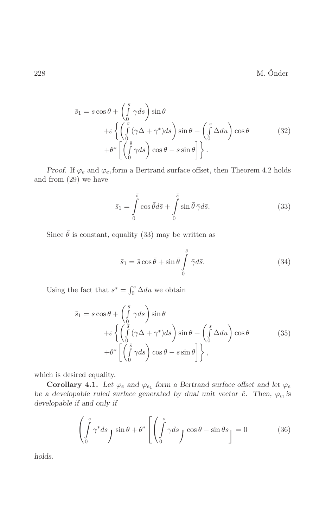M. Önder

$$
\bar{s}_1 = s \cos \theta + \left(\int_0^{\bar{s}} \gamma ds\right) \sin \theta \n+ \varepsilon \left\{ \left(\int_0^{\bar{s}} (\gamma \Delta + \gamma^*) ds\right) \sin \theta + \left(\int_0^{\bar{s}} \Delta du\right) \cos \theta \n+ \theta^* \left[\left(\int_0^{\bar{s}} \gamma ds\right) \cos \theta - s \sin \theta \right] \right\}.
$$
\n(32)

*Proof.* If  $\varphi_e$  and  $\varphi_{e_1}$  form a Bertrand surface offset, then Theorem 4.2 holds and from  $(29)$  we have

$$
\bar{s}_1 = \int_0^{\bar{s}} \cos \bar{\theta} d\bar{s} + \int_0^{\bar{s}} \sin \bar{\theta} \, \bar{\gamma} d\bar{s}.
$$
 (33)

Since  $\bar{\theta}$  is constant, equality (33) may be written as

$$
\bar{s}_1 = \bar{s}\cos\bar{\theta} + \sin\bar{\theta} \int_0^{\bar{s}} \bar{\gamma}d\bar{s}.
$$
 (34)

Using the fact that  $s^*=\int_0^s \Delta du$  we obtain

$$
\bar{s}_1 = s \cos \theta + \left(\int_0^{\bar{s}} \gamma ds\right) \sin \theta \n+ \varepsilon \left\{ \left(\int_0^{\bar{s}} (\gamma \Delta + \gamma^*) ds\right) \sin \theta + \left(\int_0^{\bar{s}} \Delta du\right) \cos \theta \n+ \theta^* \left[\left(\int_0^{\bar{s}} \gamma ds\right) \cos \theta - s \sin \theta \right] \right\},
$$
\n(35)

which is desired equality.

**Corollary 4.1.** Let  $\varphi_e$  and  $\varphi_{e_1}$  form a Bertrand surface offset and let  $\varphi_e$ be a developable ruled surface generated by dual unit vector  $\tilde{e}$ . Then,  $\varphi_{e_1}$  is developable if and only if

$$
\left(\int_{0}^{s} \gamma^* ds \int \sin \theta + \theta^* \left[ \left( \int_{0}^{s} \gamma ds \int \cos \theta - \sin \theta s \right] \right] = 0 \tag{36}
$$

holds.

228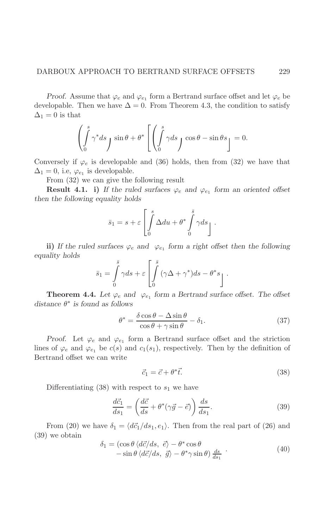*Proof.* Assume that  $\varphi_e$  and  $\varphi_{e_1}$  form a Bertrand surface offset and let  $\varphi_e$  be developable. Then we have  $\Delta = 0$ . From Theorem 4.3, the condition to satisfy  $\Delta_1=0$  is that

$$
\left(\int_{0}^{s} \gamma^* ds \int \sin \theta + \theta^* \left[ \left( \int_{0}^{s} \gamma ds \int \cos \theta - \sin \theta s \right) \right] = 0.
$$

Conversely if  $\varphi_e$  is developable and (36) holds, then from (32) we have that  $\Delta_1 = 0$ , i.e,  $\varphi_{e_1}$  is developable.

From  $(32)$  we can give the following result

**Result 4.1. i)** If the ruled surfaces  $\varphi_e$  and  $\varphi_{e_1}$  form an oriented offset then the following equality holds

$$
\bar{s}_1 = s + \varepsilon \left[ \int_0^s \Delta du + \theta^* \int_0^{\bar{s}} \gamma ds \right].
$$

ii) If the ruled surfaces  $\varphi_e$  and  $\varphi_{e_1}$  form a right offset then the following equality holds

$$
\bar{s}_1 = \int\limits_0^s \gamma ds + \varepsilon \left[ \int\limits_0^s (\gamma \Delta + \gamma^*) ds - \theta^* s \right].
$$

**Theorem 4.4.** Let  $\varphi_e$  and  $\varphi_{e_1}$  form a Bertrand surface offset. The offset distance  $\theta^*$  is found as follows

$$
\theta^* = \frac{\delta \cos \theta - \Delta \sin \theta}{\cos \theta + \gamma \sin \theta} - \delta_1.
$$
 (37)

*Proof.* Let  $\varphi_e$  and  $\varphi_{e_1}$  form a Bertrand surface offset and the striction lines of  $\varphi_e$  and  $\varphi_{e_1}$  be  $c(s)$  and  $c_1(s_1)$ , respectively. Then by the definition of Bertrand offset we can write

$$
\vec{c}_1 = \vec{c} + \theta^* \vec{t}.\tag{38}
$$

Differentiating (38) with respect to  $s_1$  we have

$$
\frac{d\vec{c}_1}{ds_1} = \left(\frac{d\vec{c}}{ds} + \theta^*(\gamma \vec{g} - \vec{e})\right) \frac{ds}{ds_1}.\tag{39}
$$

From (20) we have  $\delta_1 = \langle d\vec{c}_1/ds_1, e_1 \rangle$ . Then from the real part of (26) and  $(39)$  we obtain

$$
\delta_1 = (\cos \theta \langle d\vec{c}/ds, \vec{e} \rangle - \theta^* \cos \theta \n- \sin \theta \langle d\vec{c}/ds, \vec{g} \rangle - \theta^* \gamma \sin \theta \rangle \frac{ds}{ds_1} \tag{40}
$$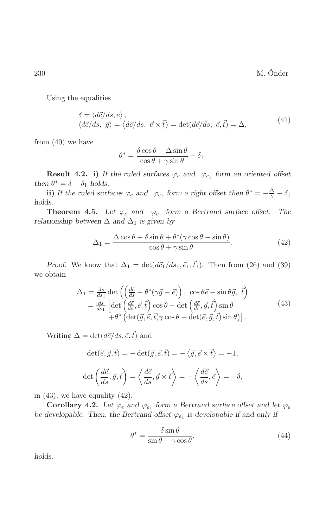M. Önder

Using the equalities

$$
\delta = \langle d\vec{c}/ds, e \rangle ,\langle d\vec{c}/ds, \vec{g} \rangle = \langle d\vec{c}/ds, \vec{e} \times \vec{t} \rangle = \det(d\vec{c}/ds, \vec{e}, \vec{t}) = \Delta,
$$
\n(41)

from  $(40)$  we have

$$
\theta^* = \frac{\delta \cos \theta - \Delta \sin \theta}{\cos \theta + \gamma \sin \theta} - \delta_1.
$$

**Result 4.2.** i) If the ruled surfaces  $\varphi_e$  and  $\varphi_{e_1}$  form an oriented offset then  $\theta^* = \delta - \delta_1$  holds.

ii) If the ruled surfaces  $\varphi_e$  and  $\varphi_{e_1}$  form a right offset then  $\theta^* = -\frac{\Delta}{\gamma} - \delta_1$ holds.

**Theorem 4.5.** Let  $\varphi_e$  and  $\varphi_{e_1}$  form a Bertrand surface offset. The relationship between  $\Delta$  and  $\Delta_1$  is given by

$$
\Delta_1 = \frac{\Delta \cos \theta + \delta \sin \theta + \theta^* (\gamma \cos \theta - \sin \theta)}{\cos \theta + \gamma \sin \theta}.
$$
\n(42)

*Proof.* We know that  $\Delta_1 = \det(d\vec{c}_1/ds_1, \vec{e}_1, \vec{t}_1)$ . Then from (26) and (39) we obtain

$$
\Delta_1 = \frac{ds}{ds_1} \det \left( \left( \frac{d\vec{c}}{ds} + \theta^* (\gamma \vec{g} - \vec{e}) \right), \cos \theta \vec{e} - \sin \theta \vec{g}, \ \vec{t} \right) \n= \frac{ds}{ds_1} \left[ \det \left( \frac{d\vec{c}}{ds}, \vec{e}, \vec{t} \right) \cos \theta - \det \left( \frac{d\vec{c}}{ds}, \vec{g}, \vec{t} \right) \sin \theta \n+ \theta^* \left( \det(\vec{g}, \vec{e}, \vec{t}) \gamma \cos \theta + \det(\vec{e}, \vec{g}, \vec{t}) \sin \theta \right) \right].
$$
\n(43)

Writing  $\Delta = \det(d\vec{c}/ds, \vec{e}, \vec{t})$  and

$$
\det(\vec{e}, \vec{g}, \vec{t}) = -\det(\vec{g}, \vec{e}, \vec{t}) = -\langle \vec{g}, \vec{e} \times \vec{t} \rangle = -1,
$$
  

$$
\det\left(\frac{d\vec{c}}{ds}, \vec{g}, \vec{t}\right) = \left\langle \frac{d\vec{c}}{ds}, \vec{g} \times \vec{t} \right\rangle = -\left\langle \frac{d\vec{c}}{ds}, \vec{e} \right\rangle = -\delta,
$$

in  $(43)$ , we have equality  $(42)$ .

**Corollary 4.2.** Let  $\varphi_e$  and  $\varphi_{e_1}$  form a Bertrand surface offset and let  $\varphi_e$ be developable. Then, the Bertrand offset  $\varphi_{e_1}$  is developable if and only if

$$
\theta^* = \frac{\delta \sin \theta}{\sin \theta - \gamma \cos \theta},\tag{44}
$$

holds.

230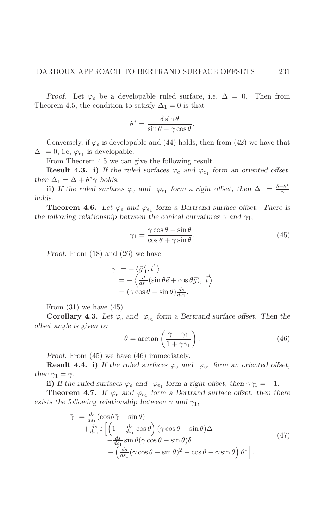*Proof.* Let  $\varphi_e$  be a developable ruled surface, i.e,  $\Delta = 0$ . Then from Theorem 4.5, the condition to satisfy  $\Delta_1 = 0$  is that

$$
\theta^* = \frac{\delta \sin \theta}{\sin \theta - \gamma \cos \theta}.
$$

Conversely, if  $\varphi_e$  is developable and (44) holds, then from (42) we have that  $\Delta_1 = 0$ , i.e,  $\varphi_{e_1}$  is developable.

From Theorem 4.5 we can give the following result.

**Result 4.3.** i) If the ruled surfaces  $\varphi_e$  and  $\varphi_{e_1}$  form an oriented offset, then  $\Delta_1 = \Delta + \theta^* \gamma$  holds.

ii) If the ruled surfaces  $\varphi_e$  and  $\varphi_{e_1}$  form a right offset, then  $\Delta_1 = \frac{\delta - \theta^*}{\alpha}$ holds.

**Theorem 4.6.** Let  $\varphi_e$  and  $\varphi_{e_1}$  form a Bertrand surface offset. There is the following relationship between the conical curvatures  $\gamma$  and  $\gamma_1$ ,

$$
\gamma_1 = \frac{\gamma \cos \theta - \sin \theta}{\cos \theta + \gamma \sin \theta}.\tag{45}
$$

*Proof.* From  $(18)$  and  $(26)$  we have

$$
\varphi_1 = -\langle \vec{g}'_1, \vec{t}_1 \rangle \n= -\langle \frac{d}{ds_1} (\sin \theta \vec{e} + \cos \theta \vec{g}), \vec{t} \rangle \n= (\gamma \cos \theta - \sin \theta) \frac{ds}{ds_1}.
$$

From  $(31)$  we have  $(45)$ .

**Corollary 4.3.** Let  $\varphi_e$  and  $\varphi_{e_1}$  form a Bertrand surface offset. Then the offset angle is given by

$$
\theta = \arctan\left(\frac{\gamma - \gamma_1}{1 + \gamma \gamma_1}\right). \tag{46}
$$

*Proof.* From  $(45)$  we have  $(46)$  immediately.

**Result 4.4. i)** If the ruled surfaces  $\varphi_e$  and  $\varphi_{e_1}$  form an oriented offset, then  $\gamma_1 = \gamma$ .

ii) If the ruled surfaces  $\varphi_e$  and  $\varphi_{e_1}$  form a right offset, then  $\gamma\gamma_1 = -1$ .

**Theorem 4.7.** If  $\varphi_e$  and  $\varphi_{e_1}$  form a Bertrand surface offset, then there exists the following relationship between  $\bar{\gamma}$  and  $\bar{\gamma}_1$ ,

$$
\bar{\gamma}_1 = \frac{ds}{ds_1} (\cos \theta \bar{\gamma} - \sin \theta) \n+ \frac{ds}{ds_1} \varepsilon \left[ \left( 1 - \frac{ds}{ds_1} \cos \theta \right) (\gamma \cos \theta - \sin \theta) \Delta \n- \frac{ds}{ds_1} \sin \theta (\gamma \cos \theta - \sin \theta) \delta \n- \left( \frac{ds}{ds_1} (\gamma \cos \theta - \sin \theta)^2 - \cos \theta - \gamma \sin \theta \right) \theta^* \right].
$$
\n(47)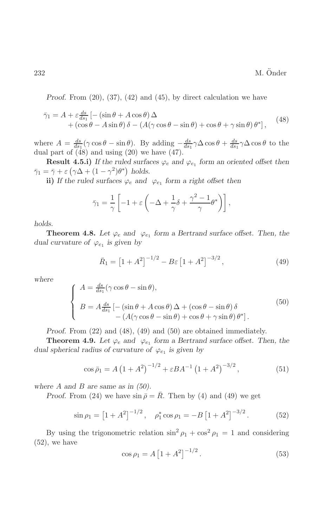*Proof.* From  $(20)$ ,  $(37)$ ,  $(42)$  and  $(45)$ , by direct calculation we have

$$
\bar{\gamma}_1 = A + \varepsilon \frac{ds}{ds_1} \left[ -\left( \sin \theta + A \cos \theta \right) \Delta + \left( \cos \theta - A \sin \theta \right) \delta - \left( A(\gamma \cos \theta - \sin \theta) + \cos \theta + \gamma \sin \theta \right) \theta^* \right], \tag{48}
$$

where  $A = \frac{ds}{ds_1}(\gamma \cos \theta - \sin \theta)$ . By adding  $-\frac{ds}{ds_1}\gamma \Delta \cos \theta + \frac{ds}{ds_1}\gamma \Delta \cos \theta$  to the dual part of  $(48)$  and using  $(20)$  we have  $(47)$ .

**Result 4.5.i)** If the ruled surfaces  $\varphi_e$  and  $\varphi_{e_1}$  form an oriented offset then  $\bar{\gamma}_1 = \bar{\gamma} + \varepsilon \left( \gamma \Delta + (1 - \gamma^2) \theta^* \right)$  holds.

ii) If the ruled surfaces  $\varphi_e$  and  $\varphi_{e_1}$  form a right offset then

$$
\bar{\gamma}_1 = \frac{1}{\gamma} \left[ -1 + \varepsilon \left( -\Delta + \frac{1}{\gamma} \delta + \frac{\gamma^2 - 1}{\gamma} \theta^* \right) \right],
$$

holds.

**Theorem 4.8.** Let  $\varphi_e$  and  $\varphi_{e_1}$  form a Bertrand surface offset. Then, the dual curvature of  $\varphi_{e_1}$  is given by

$$
\bar{R}_1 = \left[1 + A^2\right]^{-1/2} - B\varepsilon \left[1 + A^2\right]^{-3/2},\tag{49}
$$

where

$$
\begin{cases}\nA = \frac{ds}{ds_1} (\gamma \cos \theta - \sin \theta), \\
B = A \frac{ds}{ds_1} \left[ -(\sin \theta + A \cos \theta) \Delta + (\cos \theta - \sin \theta) \delta - (A(\gamma \cos \theta - \sin \theta) + \cos \theta + \gamma \sin \theta) \theta^* \right].\n\end{cases} (50)
$$

Proof. From  $(22)$  and  $(48)$ ,  $(49)$  and  $(50)$  are obtained immediately.

**Theorem 4.9.** Let  $\varphi_e$  and  $\varphi_{e_1}$  form a Bertrand surface offset. Then, the dual spherical radius of curvature of  $\varphi_{e_1}$  is given by

$$
\cos \bar{\rho}_1 = A \left( 1 + A^2 \right)^{-1/2} + \varepsilon B A^{-1} \left( 1 + A^2 \right)^{-3/2},\tag{51}
$$

where A and B are same as in  $(50)$ .

*Proof.* From (24) we have  $\sin \bar{\rho} = \bar{R}$ . Then by (4) and (49) we get

$$
\sin \rho_1 = \left[1 + A^2\right]^{-1/2}, \quad \rho_1^* \cos \rho_1 = -B \left[1 + A^2\right]^{-3/2}.
$$
 (52)

By using the trigonometric relation  $\sin^2 \rho_1 + \cos^2 \rho_1 = 1$  and considering  $(52)$ , we have

$$
\cos \rho_1 = A \left[ 1 + A^2 \right]^{-1/2}.
$$
\n(53)

232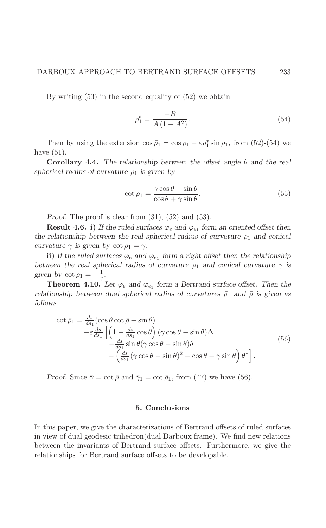By writing  $(53)$  in the second equality of  $(52)$  we obtain

$$
\rho_1^* = \frac{-B}{A(1+A^2)}.\tag{54}
$$

Then by using the extension  $\cos \bar{\rho}_1 = \cos \rho_1 - \epsilon \rho_1^* \sin \rho_1$ , from (52)-(54) we have  $(51)$ .

**Corollary 4.4.** The relationship between the offset angle  $\theta$  and the real spherical radius of curvature  $\rho_1$  is given by

$$
\cot \rho_1 = \frac{\gamma \cos \theta - \sin \theta}{\cos \theta + \gamma \sin \theta}.
$$
\n(55)

*Proof.* The proof is clear from  $(31)$ ,  $(52)$  and  $(53)$ .

**Result 4.6. i)** If the ruled surfaces  $\varphi_e$  and  $\varphi_{e_1}$  form an oriented offset then the relationship between the real spherical radius of curvature  $\rho_1$  and conical curvature  $\gamma$  is given by  $\cot \rho_1 = \gamma$ .

ii) If the ruled surfaces  $\varphi_e$  and  $\varphi_{e_1}$  form a right offset then the relationship between the real spherical radius of curvature  $\rho_1$  and conical curvature  $\gamma$  is given by  $\cot \rho_1 = -\frac{1}{\gamma}$ .

**Theorem 4.10.** Let  $\varphi_e$  and  $\varphi_{e_1}$  form a Bertrand surface offset. Then the relationship between dual spherical radius of curvatures  $\bar{\rho}_1$  and  $\bar{\rho}$  is given as follows

$$
\cot \bar{\rho}_1 = \frac{ds}{ds_1} \left( \cos \theta \cot \bar{\rho} - \sin \theta \right)
$$
  
+  $\varepsilon \frac{ds}{ds_1} \left[ \left( 1 - \frac{ds}{ds_1} \cos \theta \right) (\gamma \cos \theta - \sin \theta) \Delta \right.$   
-  $\frac{ds}{ds_1} \sin \theta (\gamma \cos \theta - \sin \theta) \delta$   
-  $\left( \frac{ds}{ds_1} (\gamma \cos \theta - \sin \theta)^2 - \cos \theta - \gamma \sin \theta \right) \theta^* \right].$  (56)

*Proof.* Since  $\bar{\gamma} = \cot \bar{\rho}$  and  $\bar{\gamma}_1 = \cot \bar{\rho}_1$ , from (47) we have (56).

### 5. Conclusions

In this paper, we give the characterizations of Bertrand offsets of ruled surfaces in view of dual geodesic trihedron(dual Darboux frame). We find new relations between the invariants of Bertrand surface offsets. Furthermore, we give the relationships for Bertrand surface offsets to be developable.